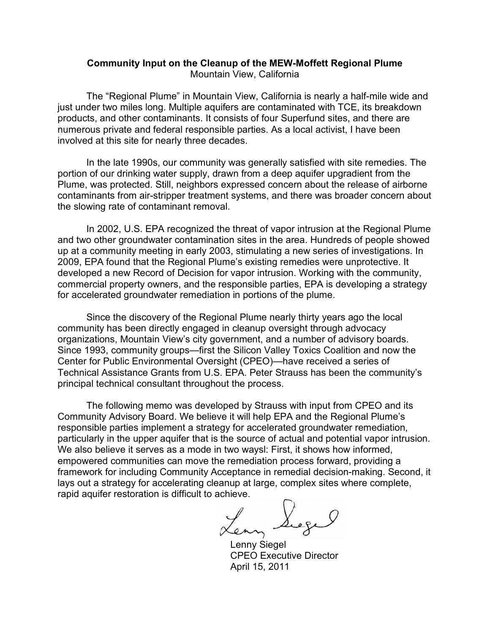### **Community Input on the Cleanup of the MEW-Moffett Regional Plume** Mountain View, California

The "Regional Plume" in Mountain View, California is nearly a half-mile wide and just under two miles long. Multiple aquifers are contaminated with TCE, its breakdown products, and other contaminants. It consists of four Superfund sites, and there are numerous private and federal responsible parties. As a local activist, I have been involved at this site for nearly three decades.

In the late 1990s, our community was generally satisfied with site remedies. The portion of our drinking water supply, drawn from a deep aquifer upgradient from the Plume, was protected. Still, neighbors expressed concern about the release of airborne contaminants from air-stripper treatment systems, and there was broader concern about the slowing rate of contaminant removal.

In 2002, U.S. EPA recognized the threat of vapor intrusion at the Regional Plume and two other groundwater contamination sites in the area. Hundreds of people showed up at a community meeting in early 2003, stimulating a new series of investigations. In 2009, EPA found that the Regional Plume's existing remedies were unprotective. It developed a new Record of Decision for vapor intrusion. Working with the community, commercial property owners, and the responsible parties, EPA is developing a strategy for accelerated groundwater remediation in portions of the plume.

Since the discovery of the Regional Plume nearly thirty years ago the local community has been directly engaged in cleanup oversight through advocacy organizations, Mountain View's city government, and a number of advisory boards. Since 1993, community groups—first the Silicon Valley Toxics Coalition and now the Center for Public Environmental Oversight (CPEO)—have received a series of Technical Assistance Grants from U.S. EPA. Peter Strauss has been the community's principal technical consultant throughout the process.

The following memo was developed by Strauss with input from CPEO and its Community Advisory Board. We believe it will help EPA and the Regional Plume's responsible parties implement a strategy for accelerated groundwater remediation, particularly in the upper aquifer that is the source of actual and potential vapor intrusion. We also believe it serves as a mode in two waysl: First, it shows how informed, empowered communities can move the remediation process forward, providing a framework for including Community Acceptance in remedial decision-making. Second, it lays out a strategy for accelerating cleanup at large, complex sites where complete, rapid aquifer restoration is difficult to achieve.

Lenny Siegel

CPEO Executive Director April 15, 2011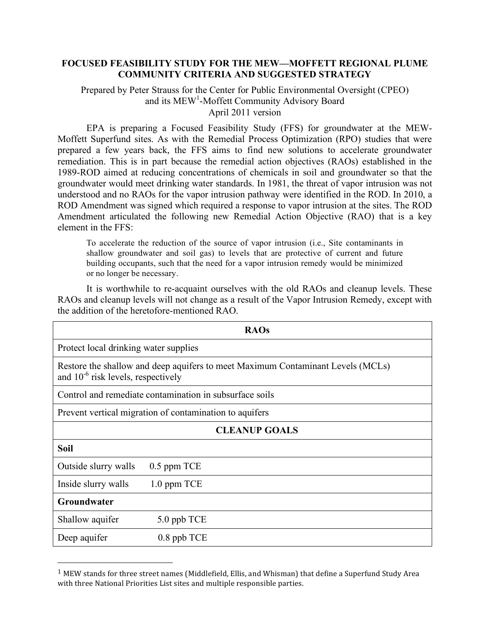### **FOCUSED FEASIBILITY STUDY FOR THE MEW—MOFFETT REGIONAL PLUME COMMUNITY CRITERIA AND SUGGESTED STRATEGY**

#### Prepared by Peter Strauss for the Center for Public Environmental Oversight (CPEO) and its MEW<sup>1</sup>-Moffett Community Advisory Board April 2011 version

EPA is preparing a Focused Feasibility Study (FFS) for groundwater at the MEW-Moffett Superfund sites. As with the Remedial Process Optimization (RPO) studies that were prepared a few years back, the FFS aims to find new solutions to accelerate groundwater remediation. This is in part because the remedial action objectives (RAOs) established in the 1989-ROD aimed at reducing concentrations of chemicals in soil and groundwater so that the groundwater would meet drinking water standards. In 1981, the threat of vapor intrusion was not understood and no RAOs for the vapor intrusion pathway were identified in the ROD. In 2010, a ROD Amendment was signed which required a response to vapor intrusion at the sites. The ROD Amendment articulated the following new Remedial Action Objective (RAO) that is a key element in the FFS:

To accelerate the reduction of the source of vapor intrusion (i.e., Site contaminants in shallow groundwater and soil gas) to levels that are protective of current and future building occupants, such that the need for a vapor intrusion remedy would be minimized or no longer be necessary.

It is worthwhile to re-acquaint ourselves with the old RAOs and cleanup levels. These RAOs and cleanup levels will not change as a result of the Vapor Intrusion Remedy, except with the addition of the heretofore-mentioned RAO.

|                                                                                                                            | <b>RAOs</b> |
|----------------------------------------------------------------------------------------------------------------------------|-------------|
| Protect local drinking water supplies                                                                                      |             |
| Restore the shallow and deep aquifers to meet Maximum Contaminant Levels (MCLs)<br>and $10^{-6}$ risk levels, respectively |             |
| Control and remediate contamination in subsurface soils                                                                    |             |
| Prevent vertical migration of contamination to aquifers                                                                    |             |
| <b>CLEANUP GOALS</b>                                                                                                       |             |
| <b>Soil</b>                                                                                                                |             |
| Outside slurry walls                                                                                                       | 0.5 ppm TCE |
| Inside slurry walls                                                                                                        | 1.0 ppm TCE |
| Groundwater                                                                                                                |             |
| Shallow aquifer                                                                                                            | 5.0 ppb TCE |
| Deep aquifer                                                                                                               | 0.8 ppb TCE |

<sup>&</sup>lt;sup>1</sup> MEW stands for three street names (Middlefield, Ellis, and Whisman) that define a Superfund Study Area with
three
National
Priorities List
sites and multiple
responsible
parties.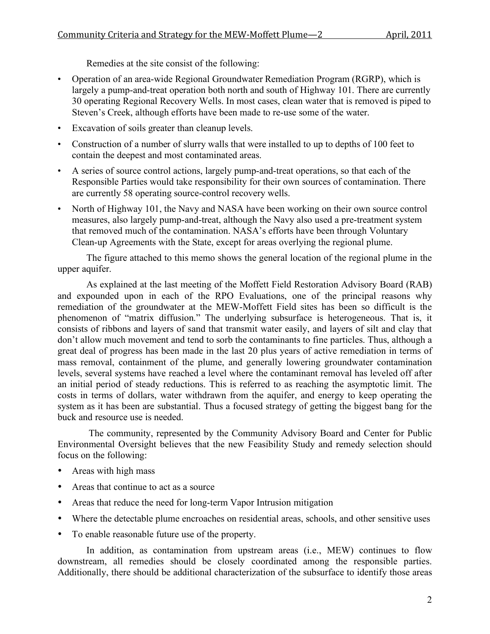Remedies at the site consist of the following:

- Operation of an area-wide Regional Groundwater Remediation Program (RGRP), which is largely a pump-and-treat operation both north and south of Highway 101. There are currently 30 operating Regional Recovery Wells. In most cases, clean water that is removed is piped to Steven's Creek, although efforts have been made to re-use some of the water.
- Excavation of soils greater than cleanup levels.
- Construction of a number of slurry walls that were installed to up to depths of 100 feet to contain the deepest and most contaminated areas.
- A series of source control actions, largely pump-and-treat operations, so that each of the Responsible Parties would take responsibility for their own sources of contamination. There are currently 58 operating source-control recovery wells.
- North of Highway 101, the Navy and NASA have been working on their own source control measures, also largely pump-and-treat, although the Navy also used a pre-treatment system that removed much of the contamination. NASA's efforts have been through Voluntary Clean-up Agreements with the State, except for areas overlying the regional plume.

The figure attached to this memo shows the general location of the regional plume in the upper aquifer.

As explained at the last meeting of the Moffett Field Restoration Advisory Board (RAB) and expounded upon in each of the RPO Evaluations, one of the principal reasons why remediation of the groundwater at the MEW-Moffett Field sites has been so difficult is the phenomenon of "matrix diffusion." The underlying subsurface is heterogeneous. That is, it consists of ribbons and layers of sand that transmit water easily, and layers of silt and clay that don't allow much movement and tend to sorb the contaminants to fine particles. Thus, although a great deal of progress has been made in the last 20 plus years of active remediation in terms of mass removal, containment of the plume, and generally lowering groundwater contamination levels, several systems have reached a level where the contaminant removal has leveled off after an initial period of steady reductions. This is referred to as reaching the asymptotic limit. The costs in terms of dollars, water withdrawn from the aquifer, and energy to keep operating the system as it has been are substantial. Thus a focused strategy of getting the biggest bang for the buck and resource use is needed.

The community, represented by the Community Advisory Board and Center for Public Environmental Oversight believes that the new Feasibility Study and remedy selection should focus on the following:

- Areas with high mass
- Areas that continue to act as a source
- Areas that reduce the need for long-term Vapor Intrusion mitigation
- Where the detectable plume encroaches on residential areas, schools, and other sensitive uses
- To enable reasonable future use of the property.

In addition, as contamination from upstream areas (i.e., MEW) continues to flow downstream, all remedies should be closely coordinated among the responsible parties. Additionally, there should be additional characterization of the subsurface to identify those areas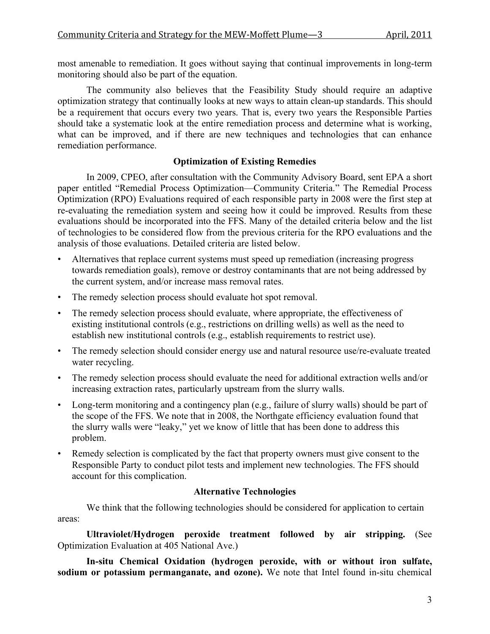most amenable to remediation. It goes without saying that continual improvements in long-term monitoring should also be part of the equation.

The community also believes that the Feasibility Study should require an adaptive optimization strategy that continually looks at new ways to attain clean-up standards. This should be a requirement that occurs every two years. That is, every two years the Responsible Parties should take a systematic look at the entire remediation process and determine what is working, what can be improved, and if there are new techniques and technologies that can enhance remediation performance.

# **Optimization of Existing Remedies**

In 2009, CPEO, after consultation with the Community Advisory Board, sent EPA a short paper entitled "Remedial Process Optimization—Community Criteria." The Remedial Process Optimization (RPO) Evaluations required of each responsible party in 2008 were the first step at re-evaluating the remediation system and seeing how it could be improved. Results from these evaluations should be incorporated into the FFS. Many of the detailed criteria below and the list of technologies to be considered flow from the previous criteria for the RPO evaluations and the analysis of those evaluations. Detailed criteria are listed below.

- Alternatives that replace current systems must speed up remediation (increasing progress towards remediation goals), remove or destroy contaminants that are not being addressed by the current system, and/or increase mass removal rates.
- The remedy selection process should evaluate hot spot removal.
- The remedy selection process should evaluate, where appropriate, the effectiveness of existing institutional controls (e.g., restrictions on drilling wells) as well as the need to establish new institutional controls (e.g., establish requirements to restrict use).
- The remedy selection should consider energy use and natural resource use/re-evaluate treated water recycling.
- The remedy selection process should evaluate the need for additional extraction wells and/or increasing extraction rates, particularly upstream from the slurry walls.
- Long-term monitoring and a contingency plan (e.g., failure of slurry walls) should be part of the scope of the FFS. We note that in 2008, the Northgate efficiency evaluation found that the slurry walls were "leaky," yet we know of little that has been done to address this problem.
- Remedy selection is complicated by the fact that property owners must give consent to the Responsible Party to conduct pilot tests and implement new technologies. The FFS should account for this complication.

# **Alternative Technologies**

We think that the following technologies should be considered for application to certain areas:

**Ultraviolet/Hydrogen peroxide treatment followed by air stripping.** (See Optimization Evaluation at 405 National Ave.)

**In-situ Chemical Oxidation (hydrogen peroxide, with or without iron sulfate, sodium or potassium permanganate, and ozone).** We note that Intel found in-situ chemical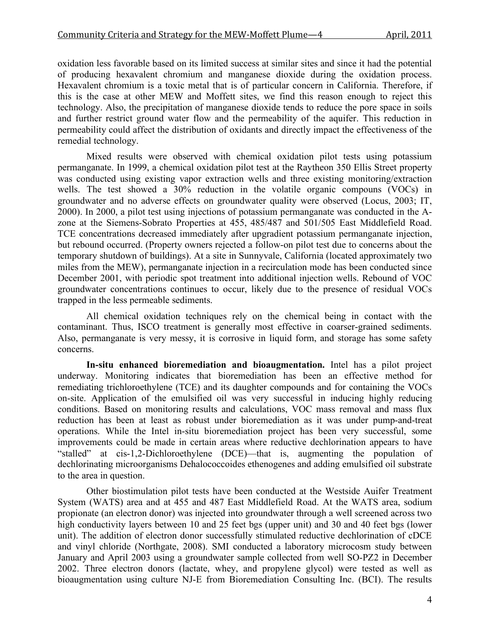oxidation less favorable based on its limited success at similar sites and since it had the potential of producing hexavalent chromium and manganese dioxide during the oxidation process. Hexavalent chromium is a toxic metal that is of particular concern in California. Therefore, if this is the case at other MEW and Moffett sites, we find this reason enough to reject this technology. Also, the precipitation of manganese dioxide tends to reduce the pore space in soils and further restrict ground water flow and the permeability of the aquifer. This reduction in permeability could affect the distribution of oxidants and directly impact the effectiveness of the remedial technology.

Mixed results were observed with chemical oxidation pilot tests using potassium permanganate. In 1999, a chemical oxidation pilot test at the Raytheon 350 Ellis Street property was conducted using existing vapor extraction wells and three existing monitoring/extraction wells. The test showed a 30% reduction in the volatile organic compouns (VOCs) in groundwater and no adverse effects on groundwater quality were observed (Locus, 2003; IT, 2000). In 2000, a pilot test using injections of potassium permanganate was conducted in the Azone at the Siemens-Sobrato Properties at 455, 485/487 and 501/505 East Middlefield Road. TCE concentrations decreased immediately after upgradient potassium permanganate injection, but rebound occurred. (Property owners rejected a follow-on pilot test due to concerns about the temporary shutdown of buildings). At a site in Sunnyvale, California (located approximately two miles from the MEW), permanganate injection in a recirculation mode has been conducted since December 2001, with periodic spot treatment into additional injection wells. Rebound of VOC groundwater concentrations continues to occur, likely due to the presence of residual VOCs trapped in the less permeable sediments.

All chemical oxidation techniques rely on the chemical being in contact with the contaminant. Thus, ISCO treatment is generally most effective in coarser-grained sediments. Also, permanganate is very messy, it is corrosive in liquid form, and storage has some safety concerns.

**In-situ enhanced bioremediation and bioaugmentation.** Intel has a pilot project underway. Monitoring indicates that bioremediation has been an effective method for remediating trichloroethylene (TCE) and its daughter compounds and for containing the VOCs on-site. Application of the emulsified oil was very successful in inducing highly reducing conditions. Based on monitoring results and calculations, VOC mass removal and mass flux reduction has been at least as robust under bioremediation as it was under pump-and-treat operations. While the Intel in-situ bioremediation project has been very successful, some improvements could be made in certain areas where reductive dechlorination appears to have "stalled" at cis-1,2-Dichloroethylene (DCE)—that is, augmenting the population of dechlorinating microorganisms Dehalococcoides ethenogenes and adding emulsified oil substrate to the area in question.

Other biostimulation pilot tests have been conducted at the Westside Auifer Treatment System (WATS) area and at 455 and 487 East Middlefield Road. At the WATS area, sodium propionate (an electron donor) was injected into groundwater through a well screened across two high conductivity layers between 10 and 25 feet bgs (upper unit) and 30 and 40 feet bgs (lower unit). The addition of electron donor successfully stimulated reductive dechlorination of cDCE and vinyl chloride (Northgate, 2008). SMI conducted a laboratory microcosm study between January and April 2003 using a groundwater sample collected from well SO-PZ2 in December 2002. Three electron donors (lactate, whey, and propylene glycol) were tested as well as bioaugmentation using culture NJ-E from Bioremediation Consulting Inc. (BCI). The results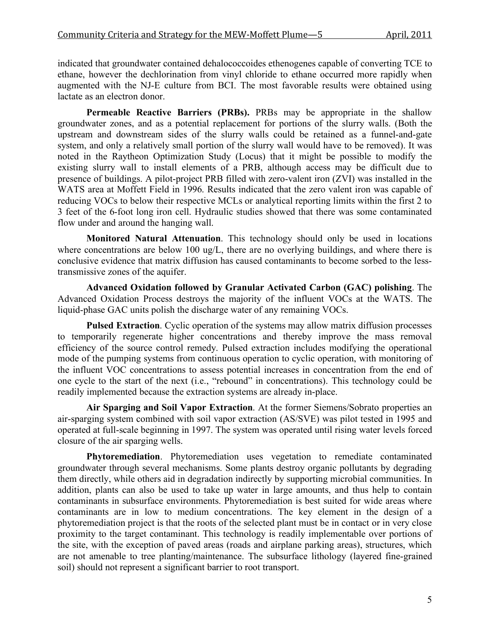indicated that groundwater contained dehalococcoides ethenogenes capable of converting TCE to ethane, however the dechlorination from vinyl chloride to ethane occurred more rapidly when augmented with the NJ-E culture from BCI. The most favorable results were obtained using lactate as an electron donor.

**Permeable Reactive Barriers (PRBs).** PRBs may be appropriate in the shallow groundwater zones, and as a potential replacement for portions of the slurry walls. (Both the upstream and downstream sides of the slurry walls could be retained as a funnel-and-gate system, and only a relatively small portion of the slurry wall would have to be removed). It was noted in the Raytheon Optimization Study (Locus) that it might be possible to modify the existing slurry wall to install elements of a PRB, although access may be difficult due to presence of buildings. A pilot-project PRB filled with zero-valent iron (ZVI) was installed in the WATS area at Moffett Field in 1996. Results indicated that the zero valent iron was capable of reducing VOCs to below their respective MCLs or analytical reporting limits within the first 2 to 3 feet of the 6-foot long iron cell. Hydraulic studies showed that there was some contaminated flow under and around the hanging wall.

**Monitored Natural Attenuation**. This technology should only be used in locations where concentrations are below 100 ug/L, there are no overlying buildings, and where there is conclusive evidence that matrix diffusion has caused contaminants to become sorbed to the lesstransmissive zones of the aquifer.

**Advanced Oxidation followed by Granular Activated Carbon (GAC) polishing**. The Advanced Oxidation Process destroys the majority of the influent VOCs at the WATS. The liquid-phase GAC units polish the discharge water of any remaining VOCs.

**Pulsed Extraction**. Cyclic operation of the systems may allow matrix diffusion processes to temporarily regenerate higher concentrations and thereby improve the mass removal efficiency of the source control remedy. Pulsed extraction includes modifying the operational mode of the pumping systems from continuous operation to cyclic operation, with monitoring of the influent VOC concentrations to assess potential increases in concentration from the end of one cycle to the start of the next (i.e., "rebound" in concentrations). This technology could be readily implemented because the extraction systems are already in-place.

**Air Sparging and Soil Vapor Extraction**. At the former Siemens/Sobrato properties an air-sparging system combined with soil vapor extraction (AS/SVE) was pilot tested in 1995 and operated at full-scale beginning in 1997. The system was operated until rising water levels forced closure of the air sparging wells.

**Phytoremediation**. Phytoremediation uses vegetation to remediate contaminated groundwater through several mechanisms. Some plants destroy organic pollutants by degrading them directly, while others aid in degradation indirectly by supporting microbial communities. In addition, plants can also be used to take up water in large amounts, and thus help to contain contaminants in subsurface environments. Phytoremediation is best suited for wide areas where contaminants are in low to medium concentrations. The key element in the design of a phytoremediation project is that the roots of the selected plant must be in contact or in very close proximity to the target contaminant. This technology is readily implementable over portions of the site, with the exception of paved areas (roads and airplane parking areas), structures, which are not amenable to tree planting/maintenance. The subsurface lithology (layered fine-grained soil) should not represent a significant barrier to root transport.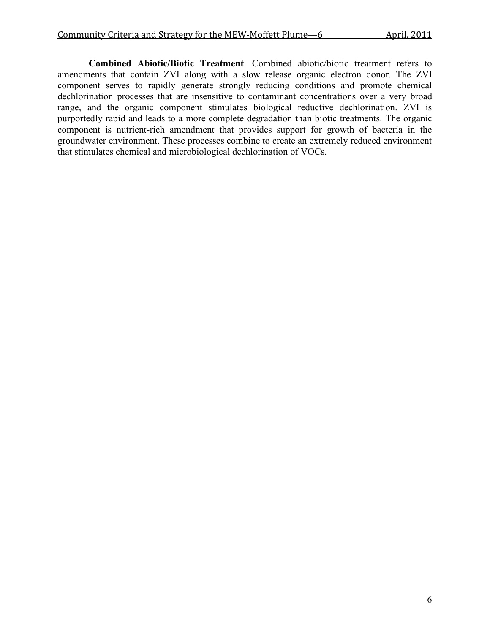**Combined Abiotic/Biotic Treatment**. Combined abiotic/biotic treatment refers to amendments that contain ZVI along with a slow release organic electron donor. The ZVI component serves to rapidly generate strongly reducing conditions and promote chemical dechlorination processes that are insensitive to contaminant concentrations over a very broad range, and the organic component stimulates biological reductive dechlorination. ZVI is purportedly rapid and leads to a more complete degradation than biotic treatments. The organic component is nutrient-rich amendment that provides support for growth of bacteria in the groundwater environment. These processes combine to create an extremely reduced environment that stimulates chemical and microbiological dechlorination of VOCs.